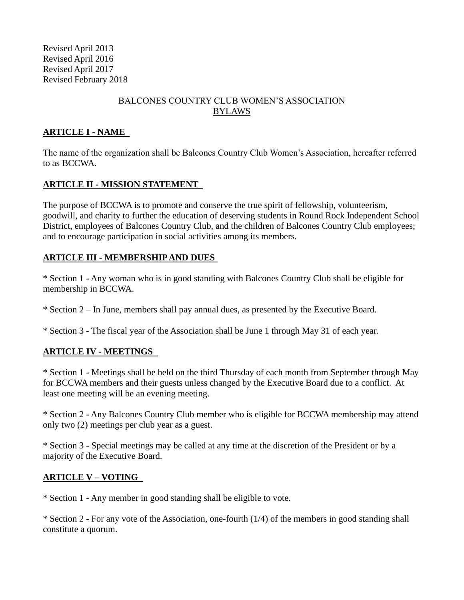Revised April 2013 Revised April 2016 Revised April 2017 Revised February 2018

### BALCONES COUNTRY CLUB WOMEN'S ASSOCIATION BYLAWS

### **ARTICLE I - NAME**

The name of the organization shall be Balcones Country Club Women's Association, hereafter referred to as BCCWA.

#### **ARTICLE II - MISSION STATEMENT**

The purpose of BCCWA is to promote and conserve the true spirit of fellowship, volunteerism, goodwill, and charity to further the education of deserving students in Round Rock Independent School District, employees of Balcones Country Club, and the children of Balcones Country Club employees; and to encourage participation in social activities among its members.

#### **ARTICLE III - MEMBERSHIP AND DUES**

\* Section 1 - Any woman who is in good standing with Balcones Country Club shall be eligible for membership in BCCWA.

\* Section 2 – In June, members shall pay annual dues, as presented by the Executive Board.

\* Section 3 - The fiscal year of the Association shall be June 1 through May 31 of each year.

#### **ARTICLE IV - MEETINGS**

\* Section 1 - Meetings shall be held on the third Thursday of each month from September through May for BCCWA members and their guests unless changed by the Executive Board due to a conflict. At least one meeting will be an evening meeting.

\* Section 2 - Any Balcones Country Club member who is eligible for BCCWA membership may attend only two (2) meetings per club year as a guest.

\* Section 3 - Special meetings may be called at any time at the discretion of the President or by a majority of the Executive Board.

#### **ARTICLE V – VOTING**

\* Section 1 - Any member in good standing shall be eligible to vote.

\* Section 2 - For any vote of the Association, one-fourth (1/4) of the members in good standing shall constitute a quorum.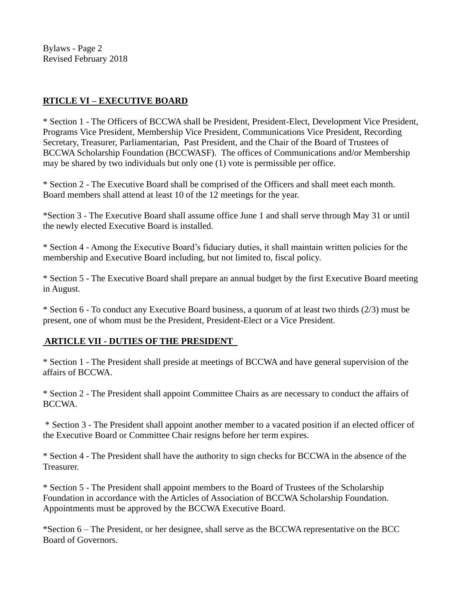Bylaws - Page 2 Revised February 2018

### **RTICLE VI – EXECUTIVE BOARD**

\* Section 1 - The Officers of BCCWA shall be President, President-Elect, Development Vice President, Programs Vice President, Membership Vice President, Communications Vice President, Recording Secretary, Treasurer, Parliamentarian, Past President, and the Chair of the Board of Trustees of BCCWA Scholarship Foundation (BCCWASF). The offices of Communications and/or Membership may be shared by two individuals but only one (1) vote is permissible per office.

\* Section 2 - The Executive Board shall be comprised of the Officers and shall meet each month. Board members shall attend at least 10 of the 12 meetings for the year.

\*Section 3 - The Executive Board shall assume office June 1 and shall serve through May 31 or until the newly elected Executive Board is installed.

\* Section 4 - Among the Executive Board's fiduciary duties, it shall maintain written policies for the membership and Executive Board including, but not limited to, fiscal policy.

\* Section 5 - The Executive Board shall prepare an annual budget by the first Executive Board meeting in August.

\* Section 6 - To conduct any Executive Board business, a quorum of at least two thirds (2/3) must be present, one of whom must be the President, President-Elect or a Vice President.

#### **ARTICLE VII - DUTIES OF THE PRESIDENT**

\* Section 1 - The President shall preside at meetings of BCCWA and have general supervision of the affairs of BCCWA.

\* Section 2 - The President shall appoint Committee Chairs as are necessary to conduct the affairs of BCCWA.

\* Section 3 - The President shall appoint another member to a vacated position if an elected officer of the Executive Board or Committee Chair resigns before her term expires.

\* Section 4 - The President shall have the authority to sign checks for BCCWA in the absence of the Treasurer.

\* Section 5 - The President shall appoint members to the Board of Trustees of the Scholarship Foundation in accordance with the Articles of Association of BCCWA Scholarship Foundation. Appointments must be approved by the BCCWA Executive Board.

\*Section 6 – The President, or her designee, shall serve as the BCCWA representative on the BCC Board of Governors.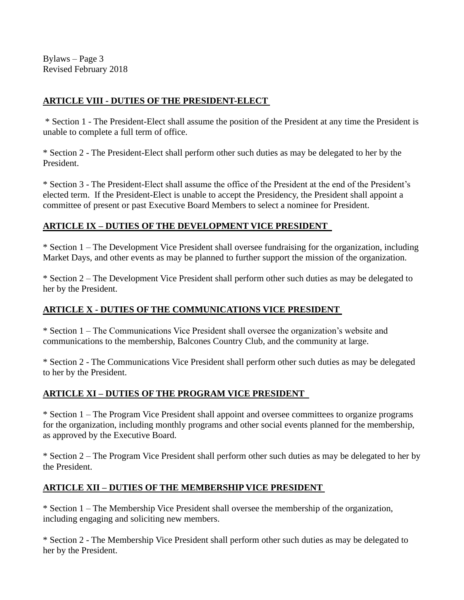Bylaws – Page 3 Revised February 2018

### **ARTICLE VIII - DUTIES OF THE PRESIDENT-ELECT**

\* Section 1 - The President-Elect shall assume the position of the President at any time the President is unable to complete a full term of office.

\* Section 2 - The President-Elect shall perform other such duties as may be delegated to her by the President.

\* Section 3 - The President-Elect shall assume the office of the President at the end of the President's elected term. If the President-Elect is unable to accept the Presidency, the President shall appoint a committee of present or past Executive Board Members to select a nominee for President.

### **ARTICLE IX – DUTIES OF THE DEVELOPMENT VICE PRESIDENT**

\* Section 1 – The Development Vice President shall oversee fundraising for the organization, including Market Days, and other events as may be planned to further support the mission of the organization.

\* Section 2 – The Development Vice President shall perform other such duties as may be delegated to her by the President.

### **ARTICLE X - DUTIES OF THE COMMUNICATIONS VICE PRESIDENT**

\* Section 1 – The Communications Vice President shall oversee the organization's website and communications to the membership, Balcones Country Club, and the community at large.

\* Section 2 - The Communications Vice President shall perform other such duties as may be delegated to her by the President.

### **ARTICLE XI – DUTIES OF THE PROGRAM VICE PRESIDENT**

\* Section 1 – The Program Vice President shall appoint and oversee committees to organize programs for the organization, including monthly programs and other social events planned for the membership, as approved by the Executive Board.

\* Section 2 – The Program Vice President shall perform other such duties as may be delegated to her by the President.

### **ARTICLE XII – DUTIES OF THE MEMBERSHIP VICE PRESIDENT**

\* Section 1 – The Membership Vice President shall oversee the membership of the organization, including engaging and soliciting new members.

\* Section 2 - The Membership Vice President shall perform other such duties as may be delegated to her by the President.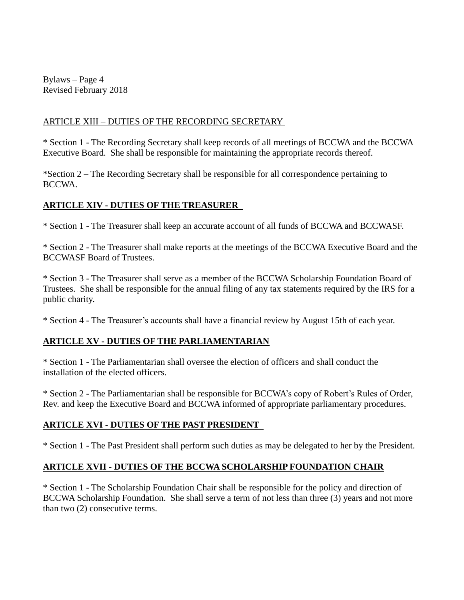Bylaws – Page 4 Revised February 2018

#### ARTICLE XIII – DUTIES OF THE RECORDING SECRETARY

\* Section 1 - The Recording Secretary shall keep records of all meetings of BCCWA and the BCCWA Executive Board. She shall be responsible for maintaining the appropriate records thereof.

\*Section 2 – The Recording Secretary shall be responsible for all correspondence pertaining to BCCWA.

### **ARTICLE XIV - DUTIES OF THE TREASURER**

\* Section 1 - The Treasurer shall keep an accurate account of all funds of BCCWA and BCCWASF.

\* Section 2 - The Treasurer shall make reports at the meetings of the BCCWA Executive Board and the BCCWASF Board of Trustees.

\* Section 3 - The Treasurer shall serve as a member of the BCCWA Scholarship Foundation Board of Trustees. She shall be responsible for the annual filing of any tax statements required by the IRS for a public charity.

\* Section 4 - The Treasurer's accounts shall have a financial review by August 15th of each year.

# **ARTICLE XV - DUTIES OF THE PARLIAMENTARIAN**

\* Section 1 - The Parliamentarian shall oversee the election of officers and shall conduct the installation of the elected officers.

\* Section 2 - The Parliamentarian shall be responsible for BCCWA's copy of Robert's Rules of Order, Rev. and keep the Executive Board and BCCWA informed of appropriate parliamentary procedures.

# **ARTICLE XVI - DUTIES OF THE PAST PRESIDENT**

\* Section 1 - The Past President shall perform such duties as may be delegated to her by the President.

# **ARTICLE XVII - DUTIES OF THE BCCWA SCHOLARSHIP FOUNDATION CHAIR**

\* Section 1 - The Scholarship Foundation Chair shall be responsible for the policy and direction of BCCWA Scholarship Foundation. She shall serve a term of not less than three (3) years and not more than two (2) consecutive terms.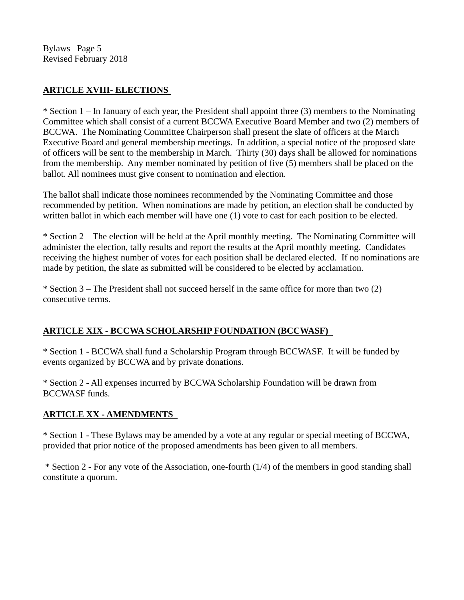Bylaws –Page 5 Revised February 2018

### **ARTICLE XVIII- ELECTIONS**

\* Section 1 – In January of each year, the President shall appoint three (3) members to the Nominating Committee which shall consist of a current BCCWA Executive Board Member and two (2) members of BCCWA. The Nominating Committee Chairperson shall present the slate of officers at the March Executive Board and general membership meetings. In addition, a special notice of the proposed slate of officers will be sent to the membership in March. Thirty (30) days shall be allowed for nominations from the membership. Any member nominated by petition of five (5) members shall be placed on the ballot. All nominees must give consent to nomination and election.

The ballot shall indicate those nominees recommended by the Nominating Committee and those recommended by petition. When nominations are made by petition, an election shall be conducted by written ballot in which each member will have one (1) vote to cast for each position to be elected.

\* Section 2 – The election will be held at the April monthly meeting. The Nominating Committee will administer the election, tally results and report the results at the April monthly meeting. Candidates receiving the highest number of votes for each position shall be declared elected. If no nominations are made by petition, the slate as submitted will be considered to be elected by acclamation.

\* Section 3 – The President shall not succeed herself in the same office for more than two (2) consecutive terms.

#### **ARTICLE XIX - BCCWA SCHOLARSHIP FOUNDATION (BCCWASF)**

\* Section 1 - BCCWA shall fund a Scholarship Program through BCCWASF. It will be funded by events organized by BCCWA and by private donations.

\* Section 2 - All expenses incurred by BCCWA Scholarship Foundation will be drawn from BCCWASF funds.

#### **ARTICLE XX - AMENDMENTS**

\* Section 1 - These Bylaws may be amended by a vote at any regular or special meeting of BCCWA, provided that prior notice of the proposed amendments has been given to all members.

\* Section 2 - For any vote of the Association, one-fourth (1/4) of the members in good standing shall constitute a quorum.